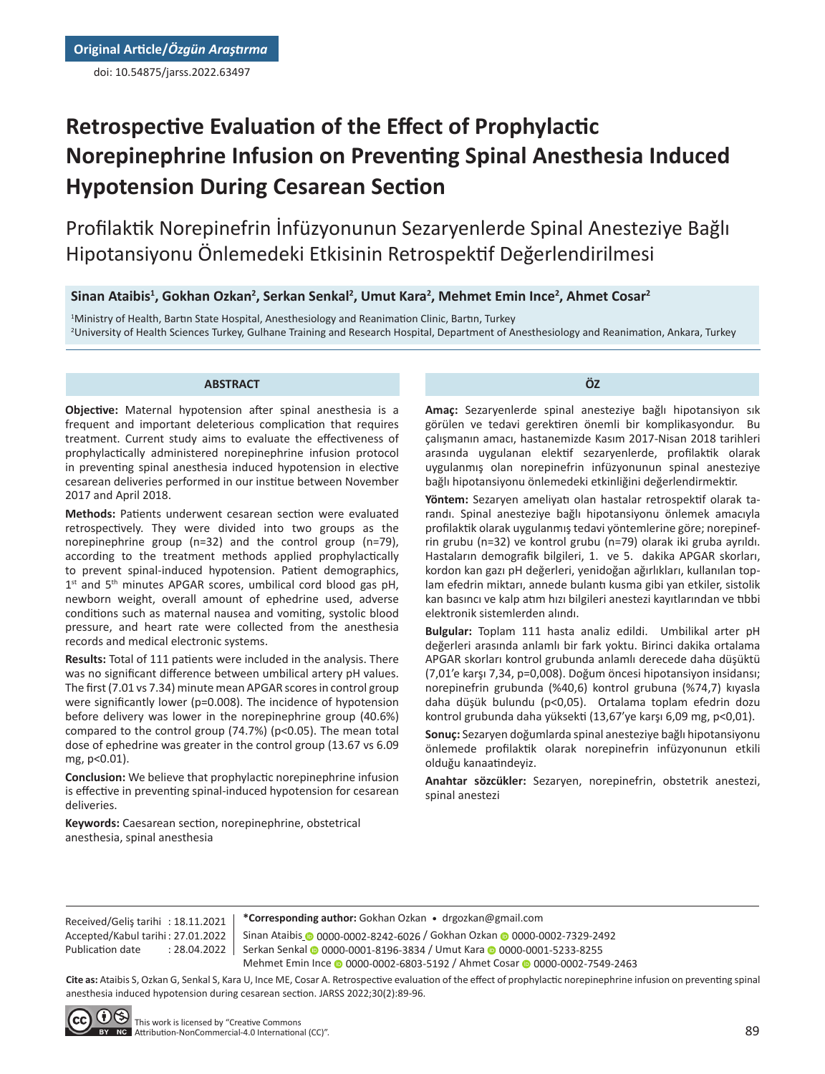doi: 10.54875/jarss.2022.63497

# **Retrospective Evaluation of the Effect of Prophylactic Norepinephrine Infusion on Preventing Spinal Anesthesia Induced Hypotension During Cesarean Section**

Profilaktik Norepinefrin İnfüzyonunun Sezaryenlerde Spinal Anesteziye Bağlı Hipotansiyonu Önlemedeki Etkisinin Retrospektif Değerlendirilmesi

# **Sinan Ataibis<sup>1</sup> , Gokhan Ozkan<sup>2</sup> , Serkan Senkal<sup>2</sup> , Umut Kara<sup>2</sup> , Mehmet Emin Ince<sup>2</sup> , Ahmet Cosar<sup>2</sup>**

1 Ministry of Health, Bartın State Hospital, Anesthesiology and Reanimation Clinic, Bartın, Turkey 2 University of Health Sciences Turkey, Gulhane Training and Research Hospital, Department of Anesthesiology and Reanimation, Ankara, Turkey

#### **ABSTRACT**

**Objective:** Maternal hypotension after spinal anesthesia is a frequent and important deleterious complication that requires treatment. Current study aims to evaluate the effectiveness of prophylactically administered norepinephrine infusion protocol in preventing spinal anesthesia induced hypotension in elective cesarean deliveries performed in our institue between November 2017 and April 2018.

**Methods:** Patients underwent cesarean section were evaluated retrospectively. They were divided into two groups as the norepinephrine group (n=32) and the control group (n=79), according to the treatment methods applied prophylactically to prevent spinal-induced hypotension. Patient demographics, 1<sup>st</sup> and 5<sup>th</sup> minutes APGAR scores, umbilical cord blood gas pH, newborn weight, overall amount of ephedrine used, adverse conditions such as maternal nausea and vomiting, systolic blood pressure, and heart rate were collected from the anesthesia records and medical electronic systems.

**Results:** Total of 111 patients were included in the analysis. There was no significant difference between umbilical artery pH values. The first (7.01 vs 7.34) minute mean APGAR scores in control group were significantly lower (p=0.008). The incidence of hypotension before delivery was lower in the norepinephrine group (40.6%) compared to the control group (74.7%) (p<0.05). The mean total dose of ephedrine was greater in the control group (13.67 vs 6.09 mg, p<0.01).

**Conclusion:** We believe that prophylactic norepinephrine infusion is effective in preventing spinal-induced hypotension for cesarean deliveries.

**Keywords:** Caesarean section, norepinephrine, obstetrical anesthesia, spinal anesthesia

**Amaç:** Sezaryenlerde spinal anesteziye bağlı hipotansiyon sık görülen ve tedavi gerektiren önemli bir komplikasyondur. Bu çalışmanın amacı, hastanemizde Kasım 2017-Nisan 2018 tarihleri arasında uygulanan elektif sezaryenlerde, profilaktik olarak uygulanmış olan norepinefrin infüzyonunun spinal anesteziye bağlı hipotansiyonu önlemedeki etkinliğini değerlendirmektir.

**ÖZ**

**Yöntem:** Sezaryen ameliyatı olan hastalar retrospektif olarak tarandı. Spinal anesteziye bağlı hipotansiyonu önlemek amacıyla profilaktik olarak uygulanmış tedavi yöntemlerine göre; norepinefrin grubu (n=32) ve kontrol grubu (n=79) olarak iki gruba ayrıldı. Hastaların demografik bilgileri, 1. ve 5. dakika APGAR skorları, kordon kan gazı pH değerleri, yenidoğan ağırlıkları, kullanılan toplam efedrin miktarı, annede bulantı kusma gibi yan etkiler, sistolik kan basıncı ve kalp atım hızı bilgileri anestezi kayıtlarından ve tıbbi elektronik sistemlerden alındı.

**Bulgular:** Toplam 111 hasta analiz edildi. Umbilikal arter pH değerleri arasında anlamlı bir fark yoktu. Birinci dakika ortalama APGAR skorları kontrol grubunda anlamlı derecede daha düşüktü (7,01'e karşı 7,34, p=0,008). Doğum öncesi hipotansiyon insidansı; norepinefrin grubunda (%40,6) kontrol grubuna (%74,7) kıyasla daha düşük bulundu (p<0,05). Ortalama toplam efedrin dozu kontrol grubunda daha yüksekti (13,67'ye karşı 6,09 mg, p<0,01).

**Sonuç:** Sezaryen doğumlarda spinal anesteziye bağlı hipotansiyonu önlemede profilaktik olarak norepinefrin infüzyonunun etkili olduğu kanaatindeyiz.

**Anahtar sözcükler:** Sezaryen, norepinefrin, obstetrik anestezi, spinal anestezi

**\*Corresponding author:** Gokhan Ozkan • drgozkan@gmail.com

Sinan Ataibis [0](https://orcid.org/0000-0001-8196-3834) 0000-0002-8242-6026 / Gokh[an](https://orcid.org/0000-0001-5233-8255) Ozkan 0 0000-0002-7329-2492 Serkan Senkal @ [00](https://orcid.org/0000-0002-6803-5192)00[-0](https://orcid.org/0000-0002-7549-2463)001-8196-3834 / Umut Kara @ 0000-0001-5233-8255 Mehmet Emin Ince @ 0000-0002-6803-5192 / Ahmet Cosar @ 0000-0002-7549-2463

**Cite as:** Ataibis S, Ozkan G, Senkal S, Kara U, Ince ME, Cosar A. Retrospective evaluation of the effect of prophylactic norepinephrine infusion on preventing spinal anesthesia induced hypotension during cesarean section. JARSS 2022;30(2):89-96.



Received/Geliş tarihi : 18.11.2021 Accepted/Kabul tarihi : 27.01.2022 Publication date : 28.04.2022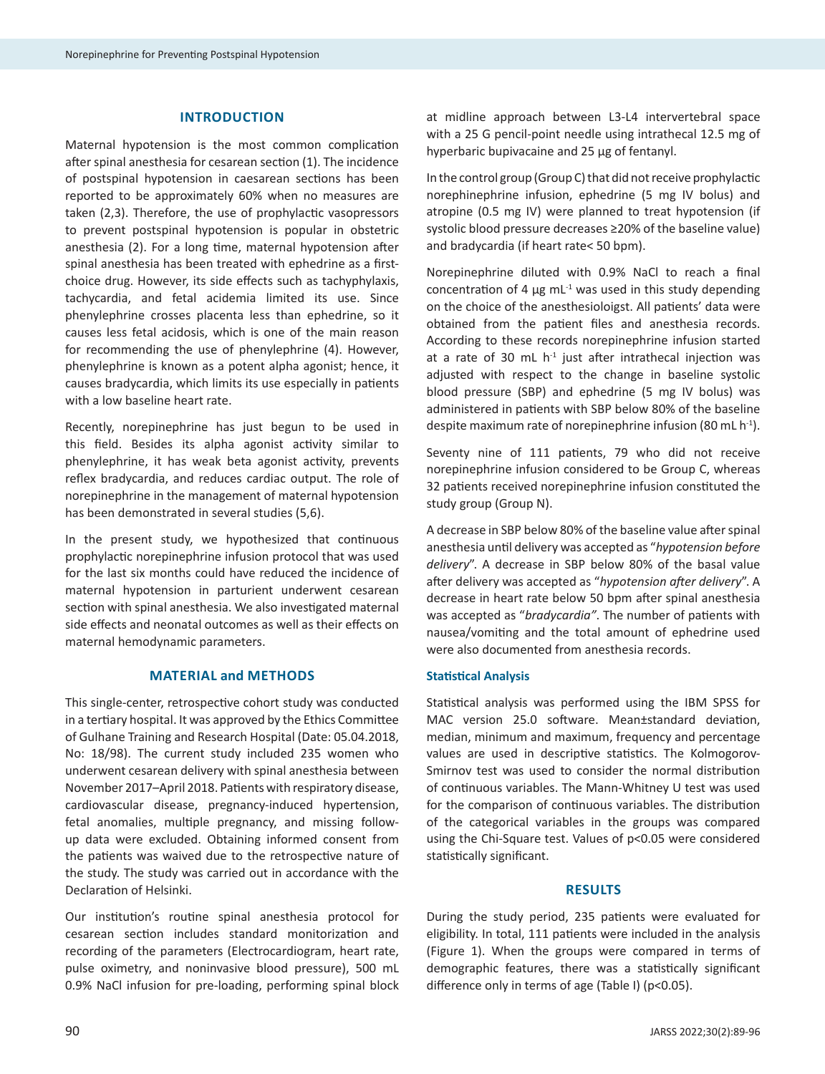## **INTRODUCTION**

Maternal hypotension is the most common complication after spinal anesthesia for cesarean section (1). The incidence of postspinal hypotension in caesarean sections has been reported to be approximately 60% when no measures are taken (2,3). Therefore, the use of prophylactic vasopressors to prevent postspinal hypotension is popular in obstetric anesthesia (2). For a long time, maternal hypotension after spinal anesthesia has been treated with ephedrine as a firstchoice drug. However, its side effects such as tachyphylaxis, tachycardia, and fetal acidemia limited its use. Since phenylephrine crosses placenta less than ephedrine, so it causes less fetal acidosis, which is one of the main reason for recommending the use of phenylephrine (4). However, phenylephrine is known as a potent alpha agonist; hence, it causes bradycardia, which limits its use especially in patients with a low baseline heart rate.

Recently, norepinephrine has just begun to be used in this field. Besides its alpha agonist activity similar to phenylephrine, it has weak beta agonist activity, prevents reflex bradycardia, and reduces cardiac output. The role of norepinephrine in the management of maternal hypotension has been demonstrated in several studies (5,6).

In the present study, we hypothesized that continuous prophylactic norepinephrine infusion protocol that was used for the last six months could have reduced the incidence of maternal hypotension in parturient underwent cesarean section with spinal anesthesia. We also investigated maternal side effects and neonatal outcomes as well as their effects on maternal hemodynamic parameters.

## **MATERIAL and METHODS**

This single-center, retrospective cohort study was conducted in a tertiary hospital. It was approved by the Ethics Committee of Gulhane Training and Research Hospital (Date: 05.04.2018, No: 18/98). The current study included 235 women who underwent cesarean delivery with spinal anesthesia between November 2017–April 2018. Patients with respiratory disease, cardiovascular disease, pregnancy-induced hypertension, fetal anomalies, multiple pregnancy, and missing followup data were excluded. Obtaining informed consent from the patients was waived due to the retrospective nature of the study. The study was carried out in accordance with the Declaration of Helsinki.

Our institution's routine spinal anesthesia protocol for cesarean section includes standard monitorization and recording of the parameters (Electrocardiogram, heart rate, pulse oximetry, and noninvasive blood pressure), 500 mL 0.9% NaCl infusion for pre-loading, performing spinal block at midline approach between L3-L4 intervertebral space with a 25 G pencil-point needle using intrathecal 12.5 mg of hyperbaric bupivacaine and 25 µg of fentanyl.

In the control group (Group C) that did not receive prophylactic norephinephrine infusion, ephedrine (5 mg IV bolus) and atropine (0.5 mg IV) were planned to treat hypotension (if systolic blood pressure decreases ≥20% of the baseline value) and bradycardia (if heart rate< 50 bpm).

Norepinephrine diluted with 0.9% NaCl to reach a final concentration of 4  $\mu$ g mL<sup>-1</sup> was used in this study depending on the choice of the anesthesioloigst. All patients' data were obtained from the patient files and anesthesia records. According to these records norepinephrine infusion started at a rate of 30 mL  $h^{-1}$  just after intrathecal injection was adjusted with respect to the change in baseline systolic blood pressure (SBP) and ephedrine (5 mg IV bolus) was administered in patients with SBP below 80% of the baseline despite maximum rate of norepinephrine infusion (80 mL  $h^{-1}$ ).

Seventy nine of 111 patients, 79 who did not receive norepinephrine infusion considered to be Group C, whereas 32 patients received norepinephrine infusion constituted the study group (Group N).

A decrease in SBP below 80% of the baseline value after spinal anesthesia until delivery was accepted as "*hypotension before delivery*". A decrease in SBP below 80% of the basal value after delivery was accepted as "*hypotension after delivery*". A decrease in heart rate below 50 bpm after spinal anesthesia was accepted as "*bradycardia"*. The number of patients with nausea/vomiting and the total amount of ephedrine used were also documented from anesthesia records.

## **Statistical Analysis**

Statistical analysis was performed using the IBM SPSS for MAC version 25.0 software. Mean±standard deviation, median, minimum and maximum, frequency and percentage values are used in descriptive statistics. The Kolmogorov-Smirnov test was used to consider the normal distribution of continuous variables. The Mann-Whitney U test was used for the comparison of continuous variables. The distribution of the categorical variables in the groups was compared using the Chi-Square test. Values of p<0.05 were considered statistically significant.

### **RESULTS**

During the study period, 235 patients were evaluated for eligibility. In total, 111 patients were included in the analysis (Figure 1). When the groups were compared in terms of demographic features, there was a statistically significant difference only in terms of age (Table I) (p<0.05).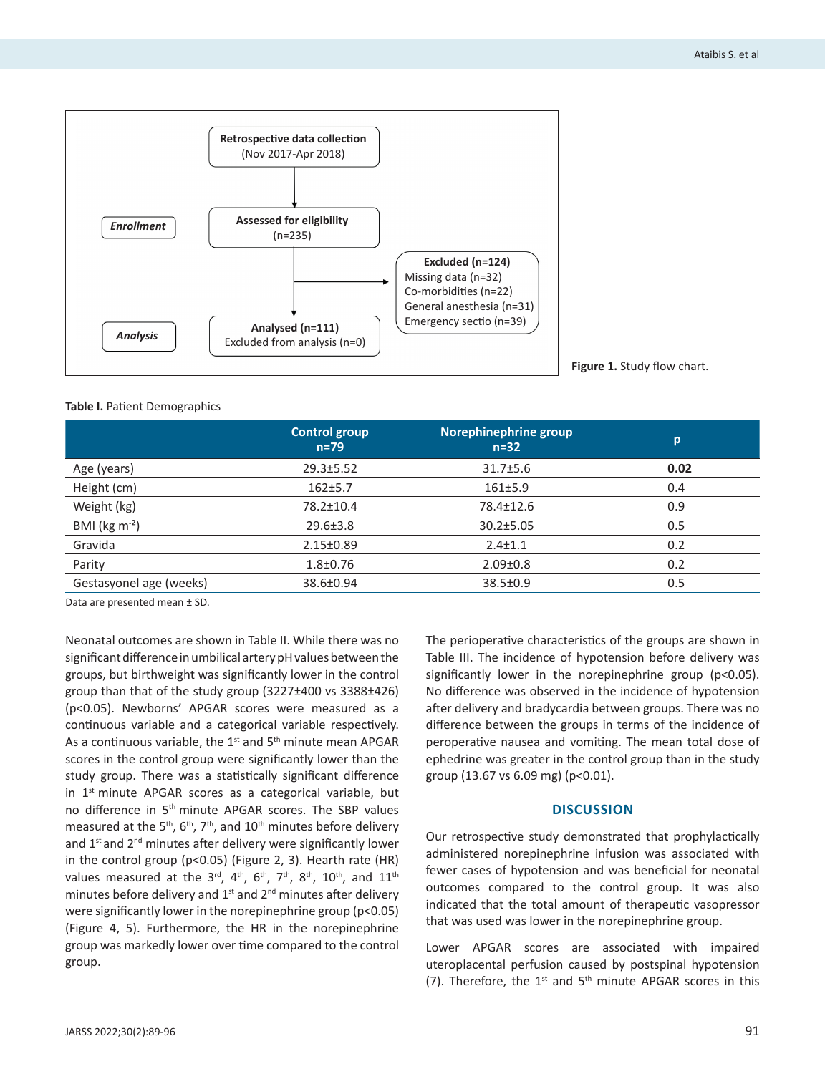

## **Table I.** Patient Demographics

|                            | <b>Control group</b><br>$n=79$ | Norephinephrine group<br>$n=32$ | p    |
|----------------------------|--------------------------------|---------------------------------|------|
| Age (years)                | $29.3 \pm 5.52$                | $31.7 \pm 5.6$                  | 0.02 |
| Height (cm)                | $162 + 5.7$                    | 161±5.9                         | 0.4  |
| Weight (kg)                | 78.2±10.4                      | 78.4±12.6                       | 0.9  |
| BMI ( $\text{kg m}^{-2}$ ) | $29.6 \pm 3.8$                 | $30.2 \pm 5.05$                 | 0.5  |
| Gravida                    | $2.15 \pm 0.89$                | $2.4 \pm 1.1$                   | 0.2  |
| Parity                     | $1.8 + 0.76$                   | $2.09 \pm 0.8$                  | 0.2  |
| Gestasyonel age (weeks)    | 38.6±0.94                      | $38.5 \pm 0.9$                  | 0.5  |

Data are presented mean ± SD.

Neonatal outcomes are shown in Table II. While there was no significant difference in umbilical artery pH values between the groups, but birthweight was significantly lower in the control group than that of the study group (3227±400 vs 3388±426) (p<0.05). Newborns' APGAR scores were measured as a continuous variable and a categorical variable respectively. As a continuous variable, the  $1<sup>st</sup>$  and  $5<sup>th</sup>$  minute mean APGAR scores in the control group were significantly lower than the study group. There was a statistically significant difference in 1<sup>st</sup> minute APGAR scores as a categorical variable, but no difference in 5<sup>th</sup> minute APGAR scores. The SBP values measured at the  $5<sup>th</sup>$ ,  $6<sup>th</sup>$ ,  $7<sup>th</sup>$ , and  $10<sup>th</sup>$  minutes before delivery and 1<sup>st</sup> and 2<sup>nd</sup> minutes after delivery were significantly lower in the control group (p<0.05) (Figure 2, 3). Hearth rate (HR) values measured at the  $3^{\text{rd}}$ ,  $4^{\text{th}}$ ,  $6^{\text{th}}$ ,  $7^{\text{th}}$ ,  $8^{\text{th}}$ ,  $10^{\text{th}}$ , and  $11^{\text{th}}$ minutes before delivery and  $1<sup>st</sup>$  and  $2<sup>nd</sup>$  minutes after delivery were significantly lower in the norepinephrine group (p<0.05) (Figure 4, 5). Furthermore, the HR in the norepinephrine group was markedly lower over time compared to the control group.

The perioperative characteristics of the groups are shown in Table III. The incidence of hypotension before delivery was significantly lower in the norepinephrine group (p<0.05). No difference was observed in the incidence of hypotension after delivery and bradycardia between groups. There was no difference between the groups in terms of the incidence of peroperative nausea and vomiting. The mean total dose of ephedrine was greater in the control group than in the study group (13.67 vs 6.09 mg) (p<0.01).

#### **DISCUSSION**

Our retrospective study demonstrated that prophylactically administered norepinephrine infusion was associated with fewer cases of hypotension and was beneficial for neonatal outcomes compared to the control group. It was also indicated that the total amount of therapeutic vasopressor that was used was lower in the norepinephrine group.

Lower APGAR scores are associated with impaired uteroplacental perfusion caused by postspinal hypotension (7). Therefore, the  $1^{st}$  and  $5^{th}$  minute APGAR scores in this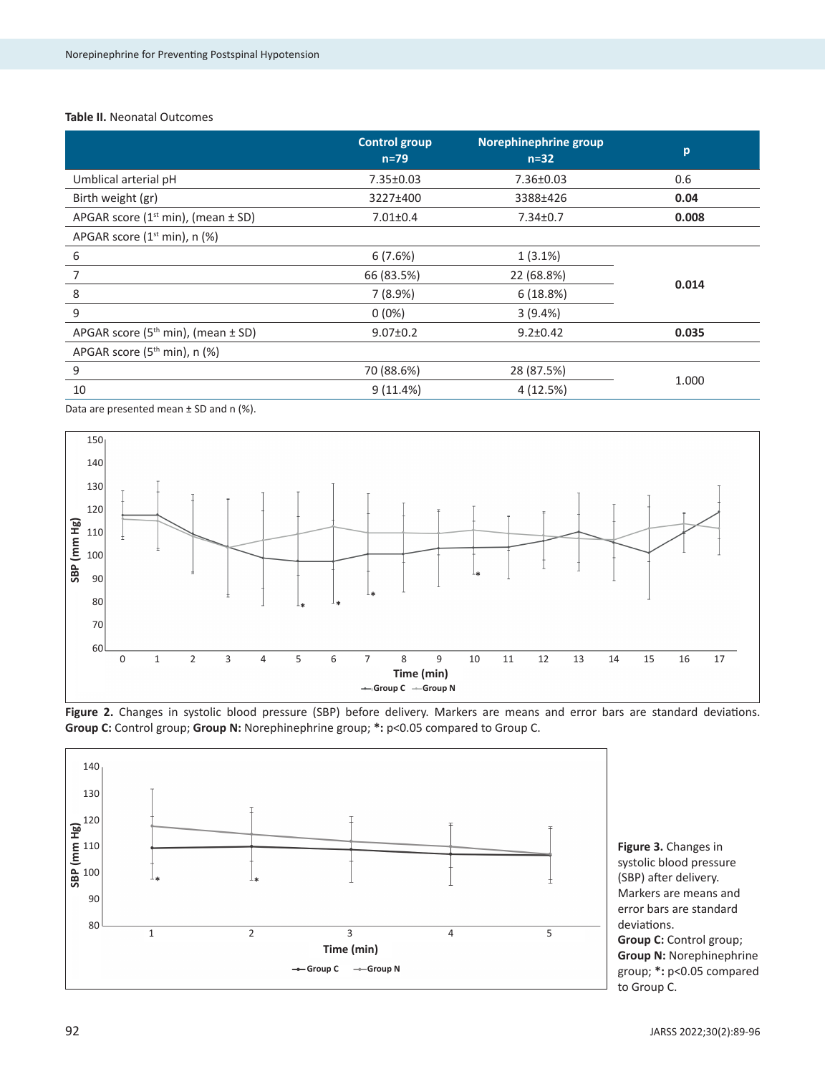#### **Table II.** Neonatal Outcomes

|                                           | <b>Control group</b><br>$n=79$ | Norephinephrine group<br>$n=32$ | p     |
|-------------------------------------------|--------------------------------|---------------------------------|-------|
| Umblical arterial pH                      | 7.35±0.03                      | $7.36 \pm 0.03$                 | 0.6   |
| Birth weight (gr)                         | 3227±400                       | 3388±426                        | 0.04  |
| APGAR score $(1st min)$ , (mean $\pm$ SD) | $7.01 \pm 0.4$                 | $7.34 \pm 0.7$                  | 0.008 |
| APGAR score $(1st min)$ , n $(\%)$        |                                |                                 |       |
| 6                                         | 6(7.6%)                        | $1(3.1\%)$                      | 0.014 |
| 7                                         | 66 (83.5%)                     | 22 (68.8%)                      |       |
| 8                                         | 7(8.9%)                        | 6(18.8%)                        |       |
| 9                                         | $0(0\%)$                       | 3(9.4%)                         |       |
| APGAR score $(5th min)$ , (mean $\pm$ SD) | $9.07 \pm 0.2$                 | $9.2 \pm 0.42$                  | 0.035 |
| APGAR score (5 <sup>th</sup> min), n (%)  |                                |                                 |       |
| 9                                         | 70 (88.6%)                     | 28 (87.5%)                      | 1.000 |
| 10                                        | 9(11.4%)                       | 4 (12.5%)                       |       |

Data are presented mean  $\pm$  SD and n (%).







**Figure 3.** Changes in systolic blood pressure (SBP) after delivery. Markers are means and error bars are standard deviations. **Group C:** Control group; **Group N:** Norephinephrine group; **\*:** p<0.05 compared to Group C.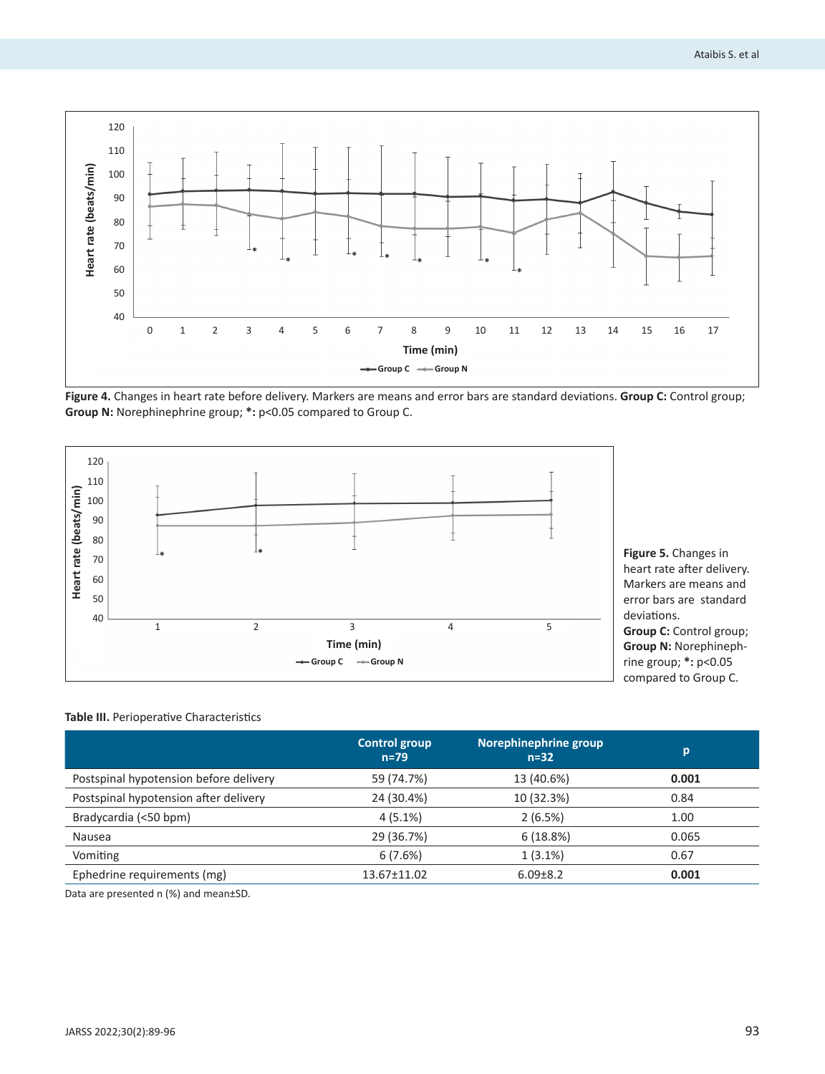

**Figure 4.** Changes in heart rate before delivery. Markers are means and error bars are standard deviations. **Group C:** Control group; **Group N:** Norephinephrine group; **\*:** p<0.05 compared to Group C.



heart rate after delivery. Markers are means and error bars are standard **Group C:** Control group; **Group N:** Norephinephrine group; **\*:** p<0.05 compared to Group C.

# **Table III.** Perioperative Characteristics

|                                        | <b>Control group</b><br>$n = 79$ | Norephinephrine group<br>$n=32$ | p     |
|----------------------------------------|----------------------------------|---------------------------------|-------|
| Postspinal hypotension before delivery | 59 (74.7%)                       | 13 (40.6%)                      | 0.001 |
| Postspinal hypotension after delivery  | 24 (30.4%)                       | 10 (32.3%)                      | 0.84  |
| Bradycardia (<50 bpm)                  | $4(5.1\%)$                       | 2(6.5%)                         | 1.00  |
| Nausea                                 | 29 (36.7%)                       | 6(18.8%)                        | 0.065 |
| Vomiting                               | 6(7.6%)                          | $1(3.1\%)$                      | 0.67  |
| Ephedrine requirements (mg)            | 13.67±11.02                      | $6.09 \pm 8.2$                  | 0.001 |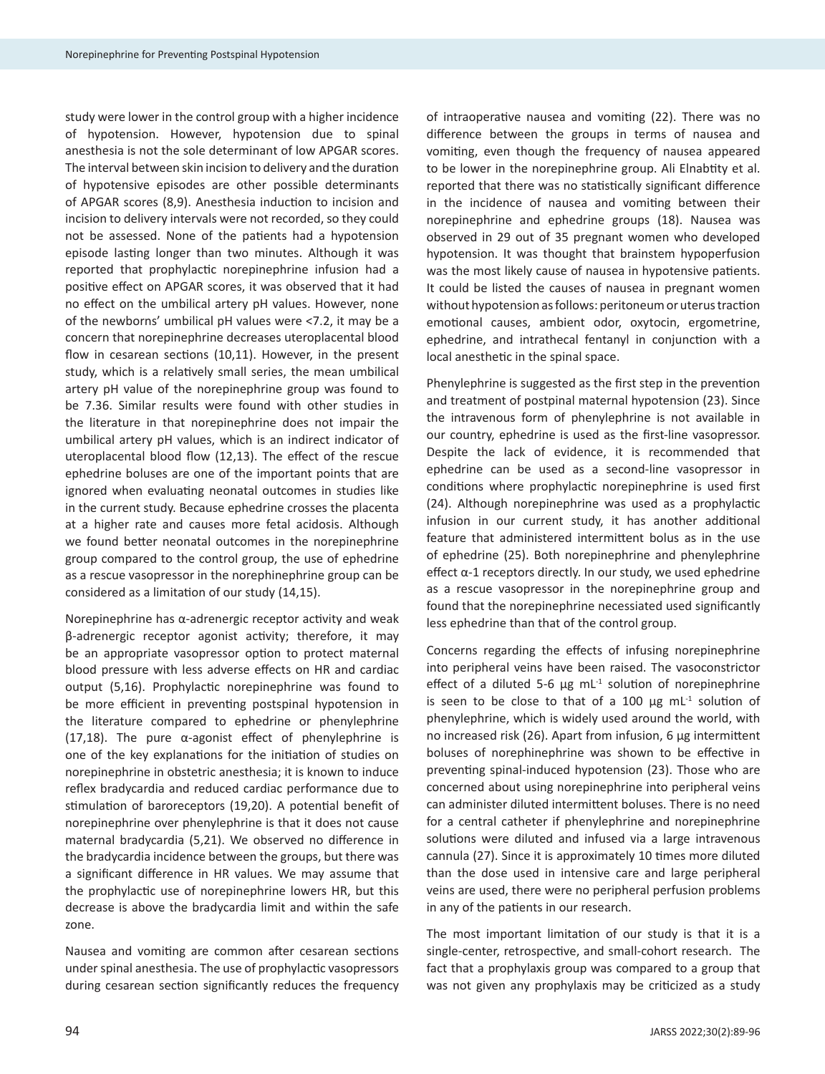study were lower in the control group with a higher incidence of hypotension. However, hypotension due to spinal anesthesia is not the sole determinant of low APGAR scores. The interval between skin incision to delivery and the duration of hypotensive episodes are other possible determinants of APGAR scores (8,9). Anesthesia induction to incision and incision to delivery intervals were not recorded, so they could not be assessed. None of the patients had a hypotension episode lasting longer than two minutes. Although it was reported that prophylactic norepinephrine infusion had a positive effect on APGAR scores, it was observed that it had no effect on the umbilical artery pH values. However, none of the newborns' umbilical pH values were <7.2, it may be a concern that norepinephrine decreases uteroplacental blood flow in cesarean sections (10,11). However, in the present study, which is a relatively small series, the mean umbilical artery pH value of the norepinephrine group was found to be 7.36. Similar results were found with other studies in the literature in that norepinephrine does not impair the umbilical artery pH values, which is an indirect indicator of uteroplacental blood flow (12,13). The effect of the rescue ephedrine boluses are one of the important points that are ignored when evaluating neonatal outcomes in studies like in the current study. Because ephedrine crosses the placenta at a higher rate and causes more fetal acidosis. Although we found better neonatal outcomes in the norepinephrine group compared to the control group, the use of ephedrine as a rescue vasopressor in the norephinephrine group can be considered as a limitation of our study (14,15).

Norepinephrine has  $α$ -adrenergic receptor activity and weak β-adrenergic receptor agonist activity; therefore, it may be an appropriate vasopressor option to protect maternal blood pressure with less adverse effects on HR and cardiac output (5,16). Prophylactic norepinephrine was found to be more efficient in preventing postspinal hypotension in the literature compared to ephedrine or phenylephrine (17,18). The pure α-agonist effect of phenylephrine is one of the key explanations for the initiation of studies on norepinephrine in obstetric anesthesia; it is known to induce reflex bradycardia and reduced cardiac performance due to stimulation of baroreceptors (19,20). A potential benefit of norepinephrine over phenylephrine is that it does not cause maternal bradycardia (5,21). We observed no difference in the bradycardia incidence between the groups, but there was a significant difference in HR values. We may assume that the prophylactic use of norepinephrine lowers HR, but this decrease is above the bradycardia limit and within the safe zone.

Nausea and vomiting are common after cesarean sections under spinal anesthesia. The use of prophylactic vasopressors during cesarean section significantly reduces the frequency of intraoperative nausea and vomiting (22). There was no difference between the groups in terms of nausea and vomiting, even though the frequency of nausea appeared to be lower in the norepinephrine group. Ali Elnabtity et al. reported that there was no statistically significant difference in the incidence of nausea and vomiting between their norepinephrine and ephedrine groups (18). Nausea was observed in 29 out of 35 pregnant women who developed hypotension. It was thought that brainstem hypoperfusion was the most likely cause of nausea in hypotensive patients. It could be listed the causes of nausea in pregnant women without hypotension as follows: peritoneum or uterus traction emotional causes, ambient odor, oxytocin, ergometrine, ephedrine, and intrathecal fentanyl in conjunction with a local anesthetic in the spinal space.

Phenylephrine is suggested as the first step in the prevention and treatment of postpinal maternal hypotension (23). Since the intravenous form of phenylephrine is not available in our country, ephedrine is used as the first-line vasopressor. Despite the lack of evidence, it is recommended that ephedrine can be used as a second-line vasopressor in conditions where prophylactic norepinephrine is used first (24). Although norepinephrine was used as a prophylactic infusion in our current study, it has another additional feature that administered intermittent bolus as in the use of ephedrine (25). Both norepinephrine and phenylephrine effect α-1 receptors directly. In our study, we used ephedrine as a rescue vasopressor in the norepinephrine group and found that the norepinephrine necessiated used significantly less ephedrine than that of the control group.

Concerns regarding the effects of infusing norepinephrine into peripheral veins have been raised. The vasoconstrictor effect of a diluted 5-6  $\mu$ g mL<sup>-1</sup> solution of norepinephrine is seen to be close to that of a 100  $\mu$ g mL<sup>-1</sup> solution of phenylephrine, which is widely used around the world, with no increased risk (26). Apart from infusion, 6 µg intermittent boluses of norephinephrine was shown to be effective in preventing spinal-induced hypotension (23). Those who are concerned about using norepinephrine into peripheral veins can administer diluted intermittent boluses. There is no need for a central catheter if phenylephrine and norepinephrine solutions were diluted and infused via a large intravenous cannula (27). Since it is approximately 10 times more diluted than the dose used in intensive care and large peripheral veins are used, there were no peripheral perfusion problems in any of the patients in our research.

The most important limitation of our study is that it is a single-center, retrospective, and small-cohort research. The fact that a prophylaxis group was compared to a group that was not given any prophylaxis may be criticized as a study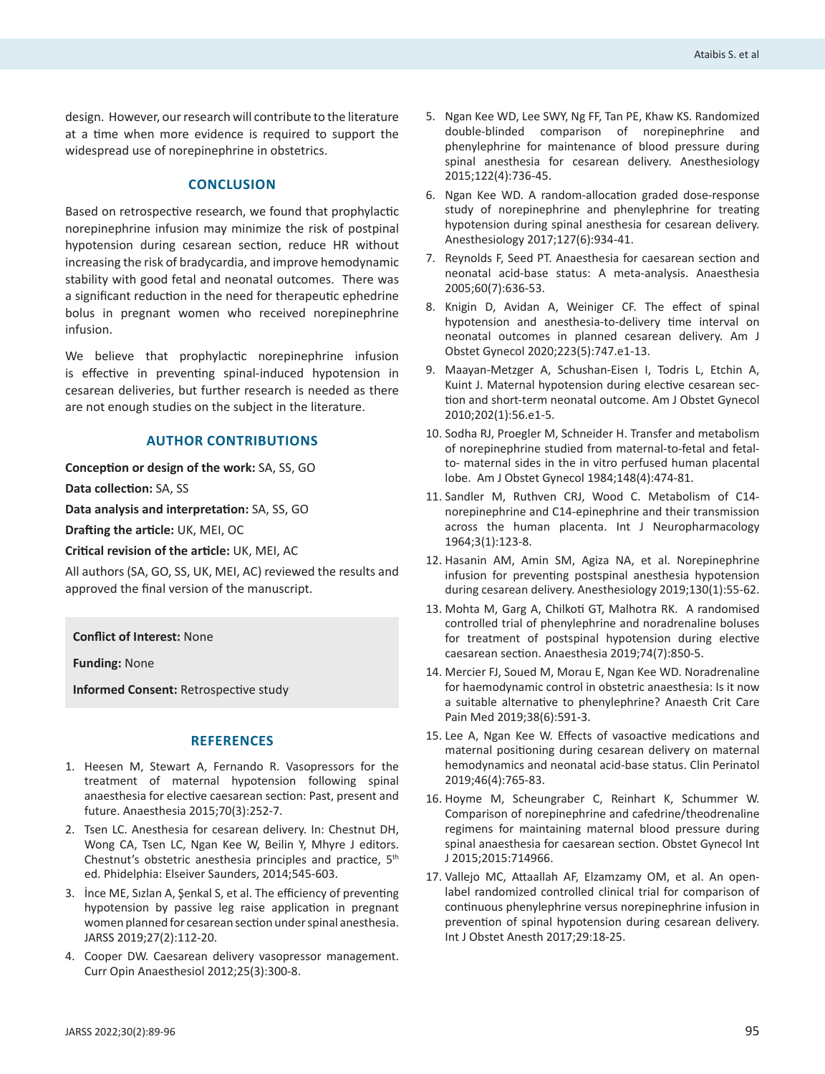design. However, our research will contribute to the literature at a time when more evidence is required to support the widespread use of norepinephrine in obstetrics.

### **CONCLUSION**

Based on retrospective research, we found that prophylactic norepinephrine infusion may minimize the risk of postpinal hypotension during cesarean section, reduce HR without increasing the risk of bradycardia, and improve hemodynamic stability with good fetal and neonatal outcomes. There was a significant reduction in the need for therapeutic ephedrine bolus in pregnant women who received norepinephrine infusion.

We believe that prophylactic norepinephrine infusion is effective in preventing spinal-induced hypotension in cesarean deliveries, but further research is needed as there are not enough studies on the subject in the literature.

## **AUTHOR CONTRIBUTIONS**

**Conception or design of the work:** SA, SS, GO

**Data collection:** SA, SS

**Data analysis and interpretation:** SA, SS, GO

**Drafting the article:** UK, MEI, OC

**Critical revision of the article:** UK, MEI, AC

All authors (SA, GO, SS, UK, MEI, AC) reviewed the results and approved the final version of the manuscript.

**Conflict of Interest:** None

**Funding:** None

**Informed Consent:** Retrospective study

## **REFERENCES**

- 1. Heesen M, Stewart A, Fernando R. Vasopressors for the treatment of maternal hypotension following spinal anaesthesia for elective caesarean section: Past, present and future. Anaesthesia 2015;70(3):252-7.
- 2. Tsen LC. Anesthesia for cesarean delivery. In: Chestnut DH, Wong CA, Tsen LC, Ngan Kee W, Beilin Y, Mhyre J editors. Chestnut's obstetric anesthesia principles and practice, 5<sup>th</sup> ed. Phidelphia: Elseiver Saunders, 2014;545-603.
- 3. İnce ME, Sızlan A, Şenkal S, et al. The efficiency of preventing hypotension by passive leg raise application in pregnant women planned for cesarean section under spinal anesthesia. JARSS 2019;27(2):112-20.
- 4. Cooper DW. Caesarean delivery vasopressor management. Curr Opin Anaesthesiol 2012;25(3):300-8.
- 5. Ngan Kee WD, Lee SWY, Ng FF, Tan PE, Khaw KS. Randomized double-blinded comparison of norepinephrine and phenylephrine for maintenance of blood pressure during spinal anesthesia for cesarean delivery. Anesthesiology 2015;122(4):736-45.
- 6. Ngan Kee WD. A random-allocation graded dose-response study of norepinephrine and phenylephrine for treating hypotension during spinal anesthesia for cesarean delivery. Anesthesiology 2017;127(6):934-41.
- 7. Reynolds F, Seed PT. Anaesthesia for caesarean section and neonatal acid-base status: A meta-analysis. Anaesthesia 2005;60(7):636-53.
- 8. Knigin D, Avidan A, Weiniger CF. The effect of spinal hypotension and anesthesia-to-delivery time interval on neonatal outcomes in planned cesarean delivery. Am J Obstet Gynecol 2020;223(5):747.e1-13.
- 9. Maayan-Metzger A, Schushan-Eisen I, Todris L, Etchin A, Kuint J. Maternal hypotension during elective cesarean section and short-term neonatal outcome. Am J Obstet Gynecol 2010;202(1):56.e1-5.
- 10. Sodha RJ, Proegler M, Schneider H. Transfer and metabolism of norepinephrine studied from maternal-to-fetal and fetalto- maternal sides in the in vitro perfused human placental lobe. Am J Obstet Gynecol 1984;148(4):474-81.
- 11. Sandler M, Ruthven CRJ, Wood C. Metabolism of C14 norepinephrine and C14-epinephrine and their transmission across the human placenta. Int J Neuropharmacology 1964;3(1):123-8.
- 12. Hasanin AM, Amin SM, Agiza NA, et al. Norepinephrine infusion for preventing postspinal anesthesia hypotension during cesarean delivery. Anesthesiology 2019;130(1):55-62.
- 13. Mohta M, Garg A, Chilkoti GT, Malhotra RK. A randomised controlled trial of phenylephrine and noradrenaline boluses for treatment of postspinal hypotension during elective caesarean section. Anaesthesia 2019;74(7):850-5.
- 14. Mercier FJ, Soued M, Morau E, Ngan Kee WD. Noradrenaline for haemodynamic control in obstetric anaesthesia: Is it now a suitable alternative to phenylephrine? Anaesth Crit Care Pain Med 2019;38(6):591-3.
- 15. Lee A, Ngan Kee W. Effects of vasoactive medications and maternal positioning during cesarean delivery on maternal hemodynamics and neonatal acid-base status. Clin Perinatol 2019;46(4):765-83.
- 16. Hoyme M, Scheungraber C, Reinhart K, Schummer W. Comparison of norepinephrine and cafedrine/theodrenaline regimens for maintaining maternal blood pressure during spinal anaesthesia for caesarean section. Obstet Gynecol Int J 2015;2015:714966.
- 17. Vallejo MC, Attaallah AF, Elzamzamy OM, et al. An open‐ label randomized controlled clinical trial for comparison of continuous phenylephrine versus norepinephrine infusion in prevention of spinal hypotension during cesarean delivery. Int J Obstet Anesth 2017;29:18-25.